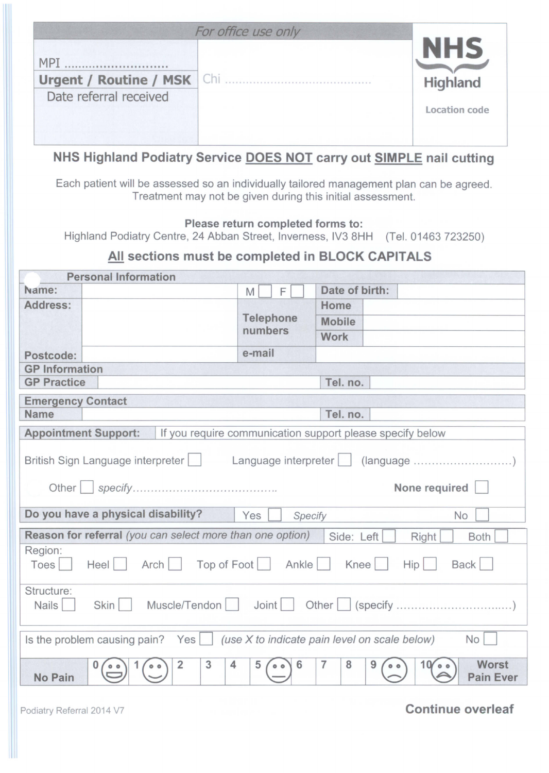|                                     | For office use only                                                  |                      |
|-------------------------------------|----------------------------------------------------------------------|----------------------|
| <b>MPT</b>                          |                                                                      | <b>NHS</b>           |
| <b>Urgent / Routine / MSK   Chi</b> |                                                                      | Highland             |
| Date referral received              |                                                                      | <b>Location code</b> |
|                                     | NHS Highland Podiatry Service DOES NOT carry out SIMPLE nail cutting |                      |

Each patient will be assessed so an individually tailored management plan can be agreed. Treatment may not be given during this initial assessment.

## Please return completed forms to:

Highland Podiatry Centre, 24 Abban Street, Inverness, IV3 8HH (Tel. 01463 723250)

## All sections must be completed in BLOCK CAPITALS

| <b>Personal Information</b>                                                                                                             |                             |                |  |
|-----------------------------------------------------------------------------------------------------------------------------------------|-----------------------------|----------------|--|
| Name:                                                                                                                                   | M<br>F                      | Date of birth: |  |
| Address:                                                                                                                                | <b>Telephone</b><br>numbers | Home           |  |
|                                                                                                                                         |                             | <b>Mobile</b>  |  |
|                                                                                                                                         |                             | <b>Work</b>    |  |
| Postcode:                                                                                                                               | e-mail                      |                |  |
| <b>GP</b> Information                                                                                                                   |                             |                |  |
| <b>GP Practice</b>                                                                                                                      |                             | Tel. no.       |  |
| <b>Emergency Contact</b>                                                                                                                |                             |                |  |
| <b>Name</b>                                                                                                                             |                             | Tel. no.       |  |
| <b>Appointment Support:</b><br>If you require communication support please specify below                                                |                             |                |  |
| British Sign Language interpreter<br>None required<br>Do you have a physical disability?<br>Yes<br><b>No</b><br>Specify                 |                             |                |  |
| Reason for referral (you can select more than one option)<br>Side: Left<br><b>Right</b><br><b>Both</b>                                  |                             |                |  |
| Region:<br>Top of Foot   Ankle<br>Arch<br>Knee<br><b>Back</b><br>Heel    <br>Hip<br>Toes                                                |                             |                |  |
| Structure:<br>Nails  <br>Skin                                                                                                           |                             |                |  |
| Is the problem causing pain? Yes $\Box$<br><b>No</b><br>(use X to indicate pain level on scale below)                                   |                             |                |  |
| 3<br>$\overline{7}$<br><b>Worst</b><br>$\overline{2}$<br>4<br>8<br>6<br>5<br>9<br>10 <sub>o</sub><br><b>No Pain</b><br><b>Pain Ever</b> |                             |                |  |

## Podiatry Referral 2014 V7 **Continue overleaf**